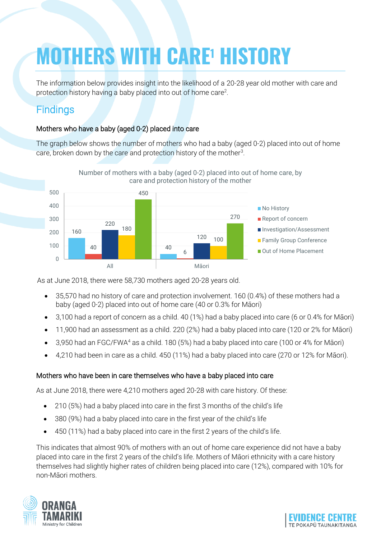# **MOTHERS WITH CARE<sup>1</sup> HISTORY**

The information below provides insight into the likelihood of a 20-28 year old mother with care and protection history having a baby placed into out of home care<sup>2</sup>.

## **Findings**

#### Mothers who have a baby (aged 0-2) placed into care

The graph below shows the number of mothers who had a baby (aged 0-2) placed into out of home care, broken down by the care and protection history of the mother $3$ .



As at June 2018, there were 58,730 mothers aged 20-28 years old.

- 35,570 had no history of care and protection involvement. 160 (0.4%) of these mothers had a baby (aged 0-2) placed into out of home care (40 or 0.3% for Māori)
- 3,100 had a report of concern as a child. 40 (1%) had a baby placed into care (6 or 0.4% for Māori)
- 11,900 had an assessment as a child. 220 (2%) had a baby placed into care (120 or 2% for Māori)
- 3,950 had an FGC/FWA<sup>4</sup> as a child. 180 (5%) had a baby placed into care (100 or 4% for Māori)
- 4,210 had been in care as a child. 450 (11%) had a baby placed into care (270 or 12% for Māori).

#### Mothers who have been in care themselves who have a baby placed into care

As at June 2018, there were 4,210 mothers aged 20-28 with care history. Of these:

- 210 (5%) had a baby placed into care in the first 3 months of the child's life
- 380 (9%) had a baby placed into care in the first year of the child's life
- 450 (11%) had a baby placed into care in the first 2 years of the child's life.

This indicates that almost 90% of mothers with an out of home care experience did not have a baby placed into care in the first 2 years of the child's life. Mothers of Māori ethnicity with a care history themselves had slightly higher rates of children being placed into care (12%), compared with 10% for non-Māori mothers.